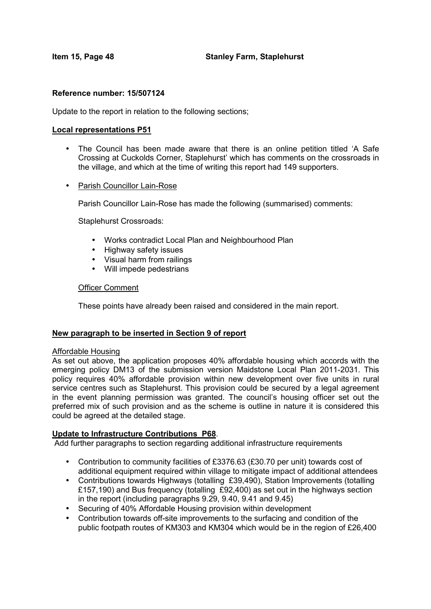#### **Reference number: 15/507124**

Update to the report in relation to the following sections;

#### **Local representations P51**

- The Council has been made aware that there is an online petition titled 'A Safe Crossing at Cuckolds Corner, Staplehurst' which has comments on the crossroads in the village, and which at the time of writing this report had 149 supporters.
- Parish Councillor Lain-Rose

Parish Councillor Lain-Rose has made the following (summarised) comments:

Staplehurst Crossroads:

- Works contradict Local Plan and Neighbourhood Plan
- Highway safety issues
- Visual harm from railings
- Will impede pedestrians

#### Officer Comment

These points have already been raised and considered in the main report.

### **New paragraph to be inserted in Section 9 of report**

#### Affordable Housing

As set out above, the application proposes 40% affordable housing which accords with the emerging policy DM13 of the submission version Maidstone Local Plan 2011-2031. This policy requires 40% affordable provision within new development over five units in rural service centres such as Staplehurst. This provision could be secured by a legal agreement in the event planning permission was granted. The council's housing officer set out the preferred mix of such provision and as the scheme is outline in nature it is considered this could be agreed at the detailed stage.

### **Update to Infrastructure Contributions P68**.

Add further paragraphs to section regarding additional infrastructure requirements

- Contribution to community facilities of £3376.63 (£30.70 per unit) towards cost of additional equipment required within village to mitigate impact of additional attendees
- Contributions towards Highways (totalling £39,490), Station Improvements (totalling £157,190) and Bus frequency (totalling £92,400) as set out in the highways section in the report (including paragraphs 9.29, 9.40, 9.41 and 9.45)
- Securing of 40% Affordable Housing provision within development
- Contribution towards off-site improvements to the surfacing and condition of the public footpath routes of KM303 and KM304 which would be in the region of £26,400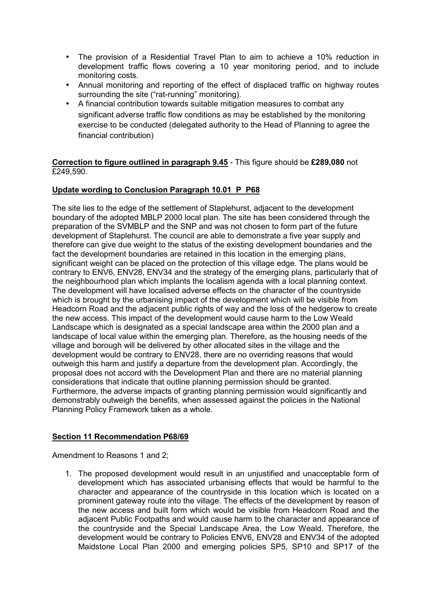- The provision of a Residential Travel Plan to aim to achieve a 10% reduction in development traffic flows covering a 10 year monitoring period, and to include monitoring costs.
- Annual monitoring and reporting of the effect of displaced traffic on highway routes surrounding the site ("rat-running" monitoring).
- A financial contribution towards suitable mitigation measures to combat any significant adverse traffic flow conditions as may be established by the monitoring exercise to be conducted (delegated authority to the Head of Planning to agree the financial contribution)

## **Correction to figure outlined in paragraph 9.45** - This figure should be **£289,080** not £249,590.

# **Update wording to Conclusion Paragraph 10.01 P P68**

The site lies to the edge of the settlement of Staplehurst, adjacent to the development boundary of the adopted MBLP 2000 local plan. The site has been considered through the preparation of the SVMBLP and the SNP and was not chosen to form part of the future development of Staplehurst. The council are able to demonstrate a five year supply and therefore can give due weight to the status of the existing development boundaries and the fact the development boundaries are retained in this location in the emerging plans, significant weight can be placed on the protection of this village edge. The plans would be contrary to ENV6, ENV28, ENV34 and the strategy of the emerging plans, particularly that of the neighbourhood plan which implants the localism agenda with a local planning context. The development will have localised adverse effects on the character of the countryside which is brought by the urbanising impact of the development which will be visible from Headcorn Road and the adjacent public rights of way and the loss of the hedgerow to create the new access. This impact of the development would cause harm to the Low Weald Landscape which is designated as a special landscape area within the 2000 plan and a landscape of local value within the emerging plan. Therefore, as the housing needs of the village and borough will be delivered by other allocated sites in the village and the development would be contrary to ENV28, there are no overriding reasons that would outweigh this harm and justify a departure from the development plan. Accordingly, the proposal does not accord with the Development Plan and there are no material planning considerations that indicate that outline planning permission should be granted. Furthermore, the adverse impacts of granting planning permission would significantly and demonstrably outweigh the benefits, when assessed against the policies in the National Planning Policy Framework taken as a whole.

# **Section 11 Recommendation P68/69**

Amendment to Reasons 1 and 2;

1. The proposed development would result in an unjustified and unacceptable form of development which has associated urbanising effects that would be harmful to the character and appearance of the countryside in this location which is located on a prominent gateway route into the village. The effects of the development by reason of the new access and built form which would be visible from Headcorn Road and the adjacent Public Footpaths and would cause harm to the character and appearance of the countryside and the Special Landscape Area, the Low Weald. Therefore, the development would be contrary to Policies ENV6, ENV28 and ENV34 of the adopted Maidstone Local Plan 2000 and emerging policies SP5, SP10 and SP17 of the